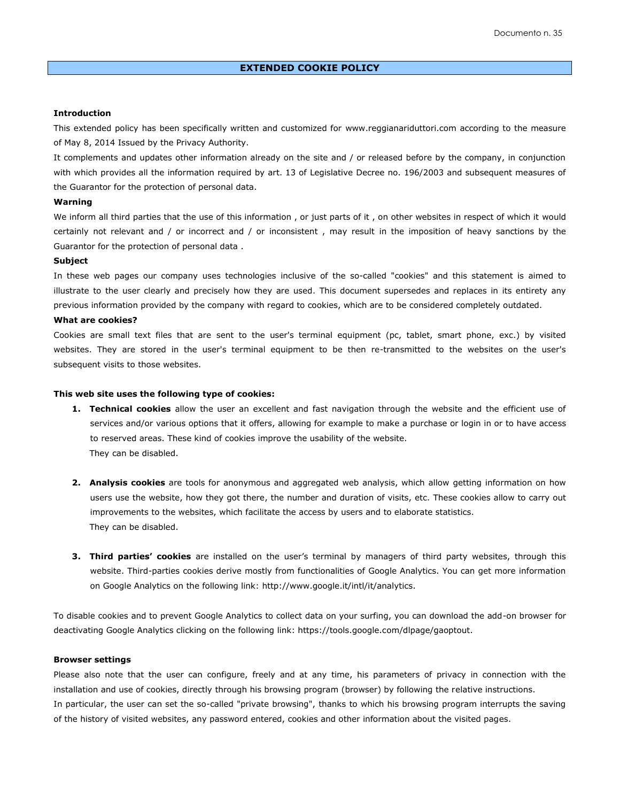# **Introduction**

This extended policy has been specifically written and customized for [www.reggianariduttori.com](http://www.reggianariduttori.com/) according to the measure of May 8, 2014 Issued by the Privacy Authority.

It complements and updates other information already on the site and / or released before by the company, in conjunction with which provides all the information required by art. 13 of Legislative Decree no. 196/2003 and subsequent measures of the Guarantor for the protection of personal data.

#### **Warning**

We inform all third parties that the use of this information, or just parts of it, on other websites in respect of which it would certainly not relevant and / or incorrect and / or inconsistent , may result in the imposition of heavy sanctions by the Guarantor for the protection of personal data .

### **Subject**

In these web pages our company uses technologies inclusive of the so-called "cookies" and this statement is aimed to illustrate to the user clearly and precisely how they are used. This document supersedes and replaces in its entirety any previous information provided by the company with regard to cookies, which are to be considered completely outdated.

## **What are cookies?**

Cookies are small text files that are sent to the user's terminal equipment (pc, tablet, smart phone, exc.) by visited websites. They are stored in the user's terminal equipment to be then re-transmitted to the websites on the user's subsequent visits to those websites.

#### **This web site uses the following type of cookies:**

- **1. Technical cookies** allow the user an excellent and fast navigation through the website and the efficient use of services and/or various options that it offers, allowing for example to make a purchase or login in or to have access to reserved areas. These kind of cookies improve the usability of the website. They can be disabled.
- **2. Analysis cookies** are tools for anonymous and aggregated web analysis, which allow getting information on how users use the website, how they got there, the number and duration of visits, etc. These cookies allow to carry out improvements to the websites, which facilitate the access by users and to elaborate statistics. They can be disabled.
- **3. Third parties' cookies** are installed on the user's terminal by managers of third party websites, through this website. Third-parties cookies derive mostly from functionalities of Google Analytics. You can get more information on Google Analytics on the following link: [http://www.google.it/intl/it/analytics.](http://www.google.it/intl/it/analytics)

To disable cookies and to prevent Google Analytics to collect data on your surfing, you can download the add-on browser for deactivating Google Analytics clicking on the following link: https://tools.google.com/dlpage/gaoptout.

## **Browser settings**

Please also note that the user can configure, freely and at any time, his parameters of privacy in connection with the installation and use of cookies, directly through his browsing program (browser) by following the relative instructions. In particular, the user can set the so-called "private browsing", thanks to which his browsing program interrupts the saving of the history of visited websites, any password entered, cookies and other information about the visited pages.